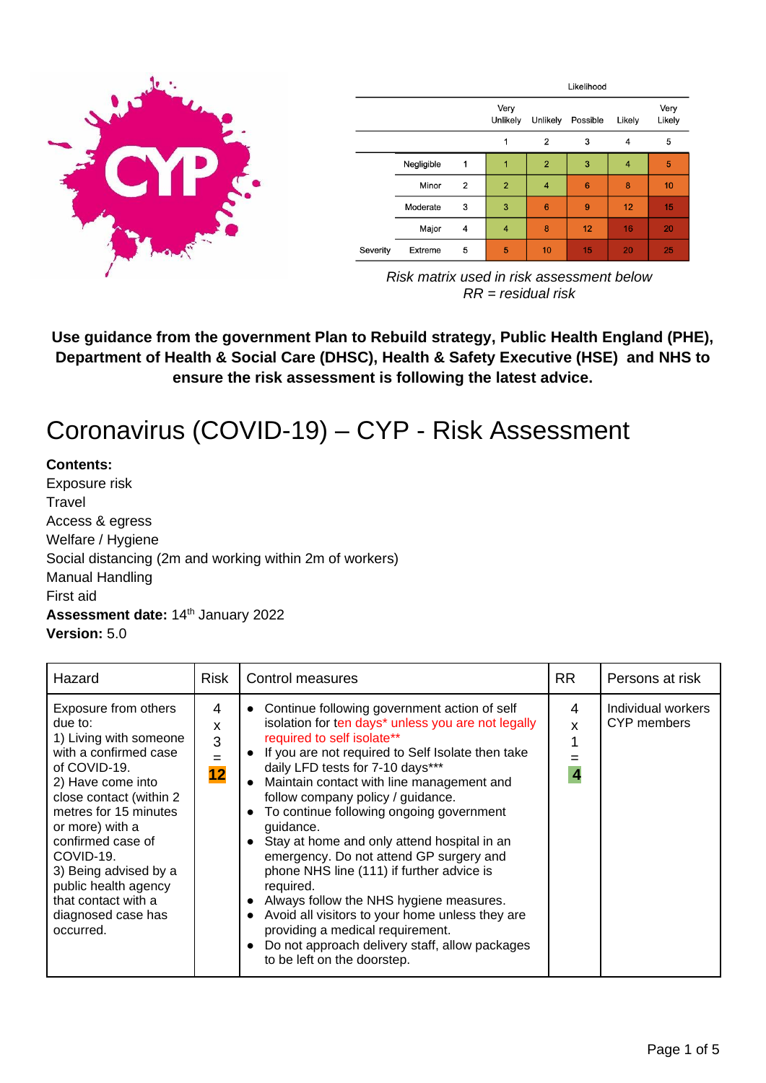

|          |            |                | Likelihood       |                |                 |        |                |
|----------|------------|----------------|------------------|----------------|-----------------|--------|----------------|
|          |            |                | Very<br>Unlikely | Unlikely       | Possible        | Likely | Very<br>Likely |
|          |            |                | 1                | $\overline{2}$ | 3               | 4      | 5              |
|          | Negligible | $\mathbf 1$    | 1                | $\overline{2}$ | 3               | 4      | 5              |
|          | Minor      | $\overline{2}$ | $\overline{2}$   | $\overline{4}$ | $6\phantom{1}6$ | 8      | 10             |
|          | Moderate   | 3              | 3                | 6              | 9               | 12     | 15             |
|          | Major      | 4              | $\overline{4}$   | 8              | 12              | 16     | 20             |
| Severity | Extreme    | 5              | 5                | 10             | 15              | 20     | 25             |

*Risk matrix used in risk assessment below RR = residual risk*

**Use guidance from the government Plan to Rebuild strategy, Public Health England (PHE), Department of Health & Social Care (DHSC), Health & Safety Executive (HSE) and NHS to ensure the risk assessment is following the latest advice.**

# Coronavirus (COVID-19) – CYP - Risk Assessment

#### **Contents:**

Exposure risk **Travel** Access & egress Welfare / Hygiene Social distancing (2m and working within 2m of workers) Manual Handling First aid Assessment date: 14<sup>th</sup> January 2022 **Version:** 5.0

| Hazard                                                                                                                                                                                                                                                                                                                                      | <b>Risk</b>              | Control measures                                                                                                                                                                                                                                                                                                                                                                                                                                                                                                                                                                                                                                                                                                                                                                                  | RR.    | Persons at risk                   |
|---------------------------------------------------------------------------------------------------------------------------------------------------------------------------------------------------------------------------------------------------------------------------------------------------------------------------------------------|--------------------------|---------------------------------------------------------------------------------------------------------------------------------------------------------------------------------------------------------------------------------------------------------------------------------------------------------------------------------------------------------------------------------------------------------------------------------------------------------------------------------------------------------------------------------------------------------------------------------------------------------------------------------------------------------------------------------------------------------------------------------------------------------------------------------------------------|--------|-----------------------------------|
| Exposure from others<br>due to:<br>1) Living with someone<br>with a confirmed case<br>of COVID-19.<br>2) Have come into<br>close contact (within 2<br>metres for 15 minutes<br>or more) with a<br>confirmed case of<br>COVID-19.<br>3) Being advised by a<br>public health agency<br>that contact with a<br>diagnosed case has<br>occurred. | 4<br>x<br>3<br>$=$<br>12 | • Continue following government action of self<br>isolation for ten days* unless you are not legally<br>required to self isolate**<br>If you are not required to Self Isolate then take<br>$\bullet$<br>daily LFD tests for 7-10 days***<br>Maintain contact with line management and<br>follow company policy / guidance.<br>To continue following ongoing government<br>guidance.<br>Stay at home and only attend hospital in an<br>$\bullet$<br>emergency. Do not attend GP surgery and<br>phone NHS line (111) if further advice is<br>required.<br>Always follow the NHS hygiene measures.<br>$\bullet$<br>Avoid all visitors to your home unless they are<br>$\bullet$<br>providing a medical requirement.<br>Do not approach delivery staff, allow packages<br>to be left on the doorstep. | 4<br>x | Individual workers<br>CYP members |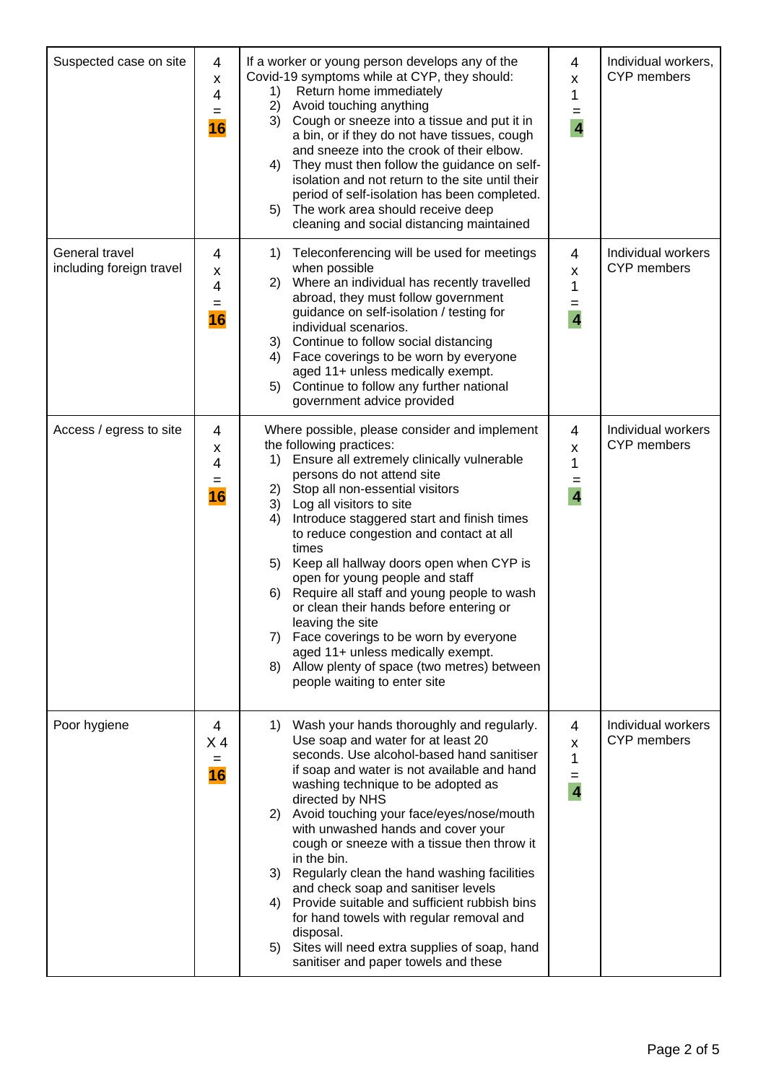| Suspected case on site                     | 4<br>$\pmb{\mathsf{X}}$<br>4<br>$=$<br>16 | If a worker or young person develops any of the<br>Covid-19 symptoms while at CYP, they should:<br>Return home immediately<br>1)<br>2) Avoid touching anything<br>3) Cough or sneeze into a tissue and put it in<br>a bin, or if they do not have tissues, cough<br>and sneeze into the crook of their elbow.<br>They must then follow the guidance on self-<br>4)<br>isolation and not return to the site until their<br>period of self-isolation has been completed.<br>The work area should receive deep<br>5)<br>cleaning and social distancing maintained                                                                                                                                                                | 4<br>X<br>1<br>=<br>$\overline{4}$            | Individual workers,<br><b>CYP</b> members |
|--------------------------------------------|-------------------------------------------|-------------------------------------------------------------------------------------------------------------------------------------------------------------------------------------------------------------------------------------------------------------------------------------------------------------------------------------------------------------------------------------------------------------------------------------------------------------------------------------------------------------------------------------------------------------------------------------------------------------------------------------------------------------------------------------------------------------------------------|-----------------------------------------------|-------------------------------------------|
| General travel<br>including foreign travel | 4<br>x<br>$\overline{4}$<br>$=$<br>16     | Teleconferencing will be used for meetings<br>1)<br>when possible<br>2) Where an individual has recently travelled<br>abroad, they must follow government<br>guidance on self-isolation / testing for<br>individual scenarios.<br>Continue to follow social distancing<br>3)<br>4) Face coverings to be worn by everyone<br>aged 11+ unless medically exempt.<br>Continue to follow any further national<br>5)<br>government advice provided                                                                                                                                                                                                                                                                                  | 4<br>Χ<br>1<br>=<br>$\overline{4}$            | Individual workers<br><b>CYP</b> members  |
| Access / egress to site                    | 4<br>X<br>4<br>$=$<br>16                  | Where possible, please consider and implement<br>the following practices:<br>Ensure all extremely clinically vulnerable<br>1)<br>persons do not attend site<br>Stop all non-essential visitors<br>2)<br>Log all visitors to site<br>3)<br>Introduce staggered start and finish times<br>4)<br>to reduce congestion and contact at all<br>times<br>Keep all hallway doors open when CYP is<br>5)<br>open for young people and staff<br>Require all staff and young people to wash<br>6)<br>or clean their hands before entering or<br>leaving the site<br>Face coverings to be worn by everyone<br>7)<br>aged 11+ unless medically exempt.<br>Allow plenty of space (two metres) between<br>8)<br>people waiting to enter site | 4<br>X<br>1<br>$=$<br>$\overline{\mathbf{4}}$ | Individual workers<br>CYP members         |
| Poor hygiene                               | 4<br>X <sub>4</sub><br>$=$<br>16          | Wash your hands thoroughly and regularly.<br>1)<br>Use soap and water for at least 20<br>seconds. Use alcohol-based hand sanitiser<br>if soap and water is not available and hand<br>washing technique to be adopted as<br>directed by NHS<br>Avoid touching your face/eyes/nose/mouth<br>2)<br>with unwashed hands and cover your<br>cough or sneeze with a tissue then throw it<br>in the bin.<br>3) Regularly clean the hand washing facilities<br>and check soap and sanitiser levels<br>Provide suitable and sufficient rubbish bins<br>4)<br>for hand towels with regular removal and<br>disposal.<br>Sites will need extra supplies of soap, hand<br>5)<br>sanitiser and paper towels and these                        | 4<br>X<br>1<br>=<br>$\overline{4}$            | Individual workers<br><b>CYP</b> members  |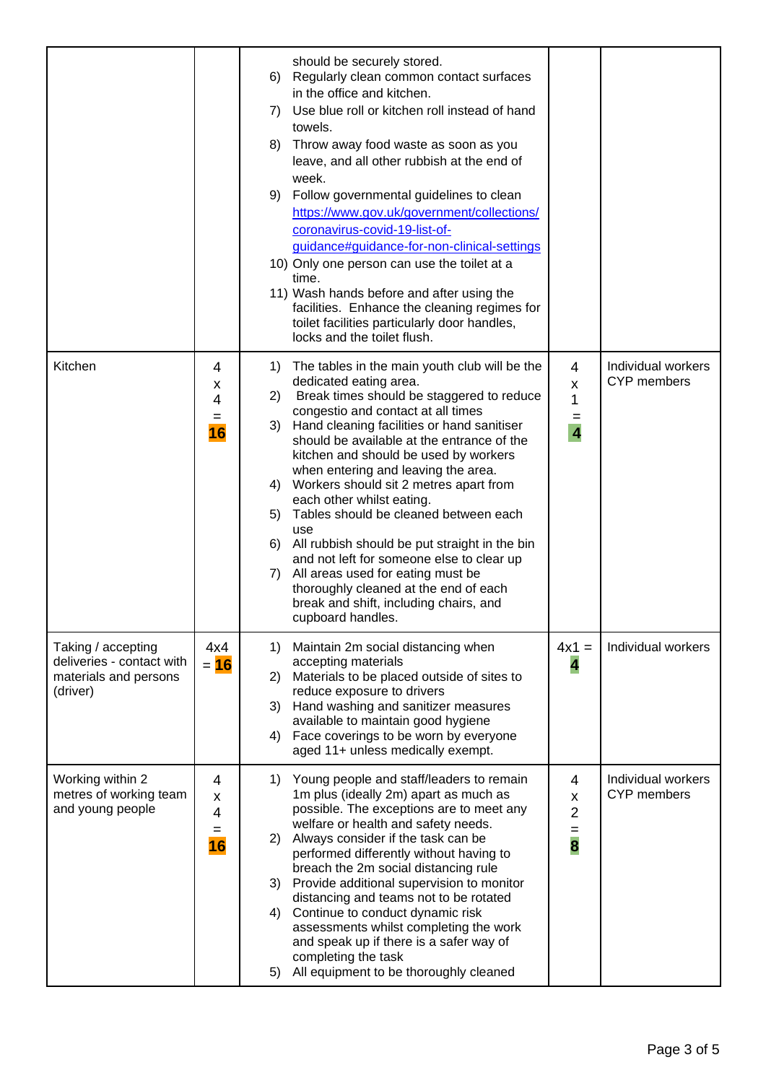|                                                                                      |                                 | should be securely stored.<br>6) Regularly clean common contact surfaces<br>in the office and kitchen.<br>Use blue roll or kitchen roll instead of hand<br>7)<br>towels.<br>8) Throw away food waste as soon as you<br>leave, and all other rubbish at the end of<br>week.<br>Follow governmental guidelines to clean<br>9)<br>https://www.gov.uk/government/collections/<br>coronavirus-covid-19-list-of-<br>guidance#guidance-for-non-clinical-settings<br>10) Only one person can use the toilet at a<br>time.<br>11) Wash hands before and after using the<br>facilities. Enhance the cleaning regimes for<br>toilet facilities particularly door handles,<br>locks and the toilet flush.                                                   |                                                                |                                          |
|--------------------------------------------------------------------------------------|---------------------------------|-------------------------------------------------------------------------------------------------------------------------------------------------------------------------------------------------------------------------------------------------------------------------------------------------------------------------------------------------------------------------------------------------------------------------------------------------------------------------------------------------------------------------------------------------------------------------------------------------------------------------------------------------------------------------------------------------------------------------------------------------|----------------------------------------------------------------|------------------------------------------|
| Kitchen                                                                              | 4<br>X<br>4<br>$=$<br><b>16</b> | The tables in the main youth club will be the<br>1)<br>dedicated eating area.<br>Break times should be staggered to reduce<br>2)<br>congestio and contact at all times<br>Hand cleaning facilities or hand sanitiser<br>3)<br>should be available at the entrance of the<br>kitchen and should be used by workers<br>when entering and leaving the area.<br>4) Workers should sit 2 metres apart from<br>each other whilst eating.<br>Tables should be cleaned between each<br>5)<br>use<br>All rubbish should be put straight in the bin<br>6)<br>and not left for someone else to clear up<br>7)<br>All areas used for eating must be<br>thoroughly cleaned at the end of each<br>break and shift, including chairs, and<br>cupboard handles. | 4<br>$\pmb{\mathsf{x}}$<br>1<br>$=$<br>$\overline{\mathbf{4}}$ | Individual workers<br><b>CYP</b> members |
| Taking / accepting<br>deliveries - contact with<br>materials and persons<br>(driver) | 4x4<br>$= 16$                   | 1)<br>Maintain 2m social distancing when<br>accepting materials<br>Materials to be placed outside of sites to<br>2)<br>reduce exposure to drivers<br>Hand washing and sanitizer measures<br>3)<br>available to maintain good hygiene<br>Face coverings to be worn by everyone<br>4)<br>aged 11+ unless medically exempt.                                                                                                                                                                                                                                                                                                                                                                                                                        | $4x1 =$<br>4                                                   | Individual workers                       |
| Working within 2<br>metres of working team<br>and young people                       | 4<br>X<br>4<br>$=$<br>16        | Young people and staff/leaders to remain<br>1)<br>1m plus (ideally 2m) apart as much as<br>possible. The exceptions are to meet any<br>welfare or health and safety needs.<br>2) Always consider if the task can be<br>performed differently without having to<br>breach the 2m social distancing rule<br>Provide additional supervision to monitor<br>3)<br>distancing and teams not to be rotated<br>Continue to conduct dynamic risk<br>4)<br>assessments whilst completing the work<br>and speak up if there is a safer way of<br>completing the task<br>All equipment to be thoroughly cleaned<br>5)                                                                                                                                       | 4<br>X<br>$\overline{2}$<br>$=$<br>8                           | Individual workers<br><b>CYP</b> members |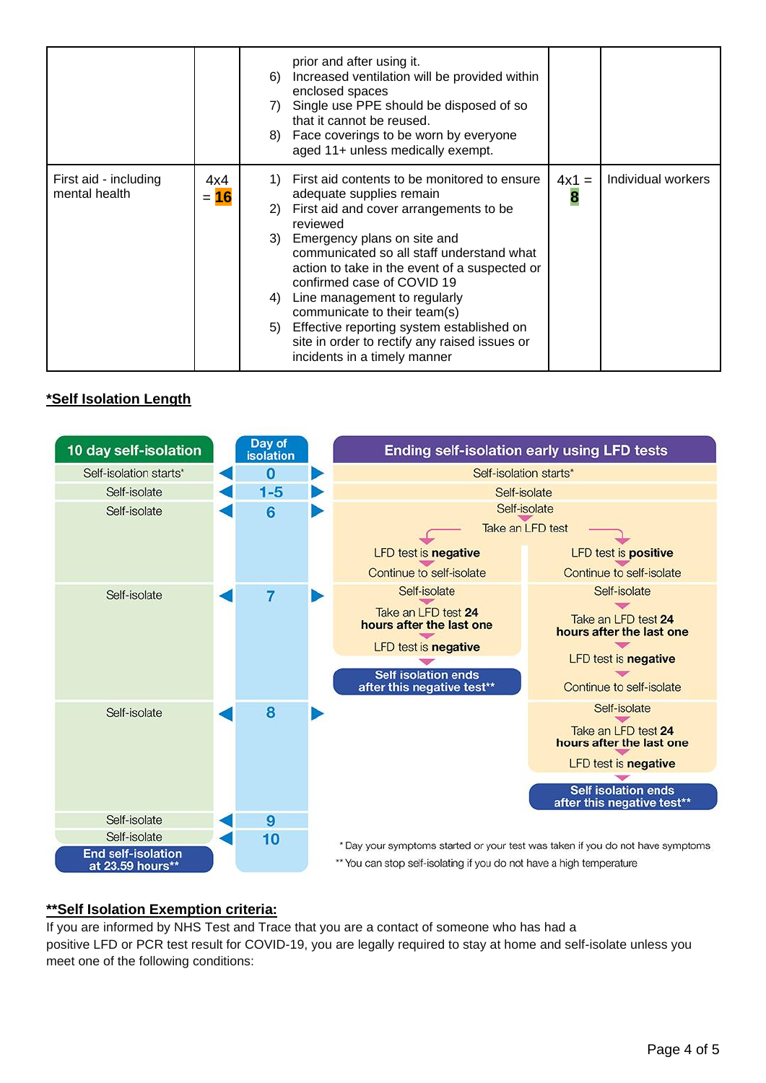|                                        |               | prior and after using it.<br>Increased ventilation will be provided within<br>6)<br>enclosed spaces<br>Single use PPE should be disposed of so<br>7)<br>that it cannot be reused.<br>8) Face coverings to be worn by everyone<br>aged 11+ unless medically exempt.                                                                                                                                                                                                                                              |              |                    |
|----------------------------------------|---------------|-----------------------------------------------------------------------------------------------------------------------------------------------------------------------------------------------------------------------------------------------------------------------------------------------------------------------------------------------------------------------------------------------------------------------------------------------------------------------------------------------------------------|--------------|--------------------|
| First aid - including<br>mental health | 4x4<br>$= 16$ | First aid contents to be monitored to ensure<br>1)<br>adequate supplies remain<br>First aid and cover arrangements to be<br>2)<br>reviewed<br>3) Emergency plans on site and<br>communicated so all staff understand what<br>action to take in the event of a suspected or<br>confirmed case of COVID 19<br>Line management to regularly<br>4)<br>communicate to their team(s)<br>5) Effective reporting system established on<br>site in order to rectify any raised issues or<br>incidents in a timely manner | $4x1 =$<br>8 | Individual workers |

### **\*Self Isolation Length**



#### **\*\*Self Isolation Exemption criteria:**

If you are informed by NHS Test and Trace that you are a contact of someone who has had a positive LFD or PCR test result for COVID-19, you are legally required to stay at home and self-isolate unless you meet one of the following conditions: